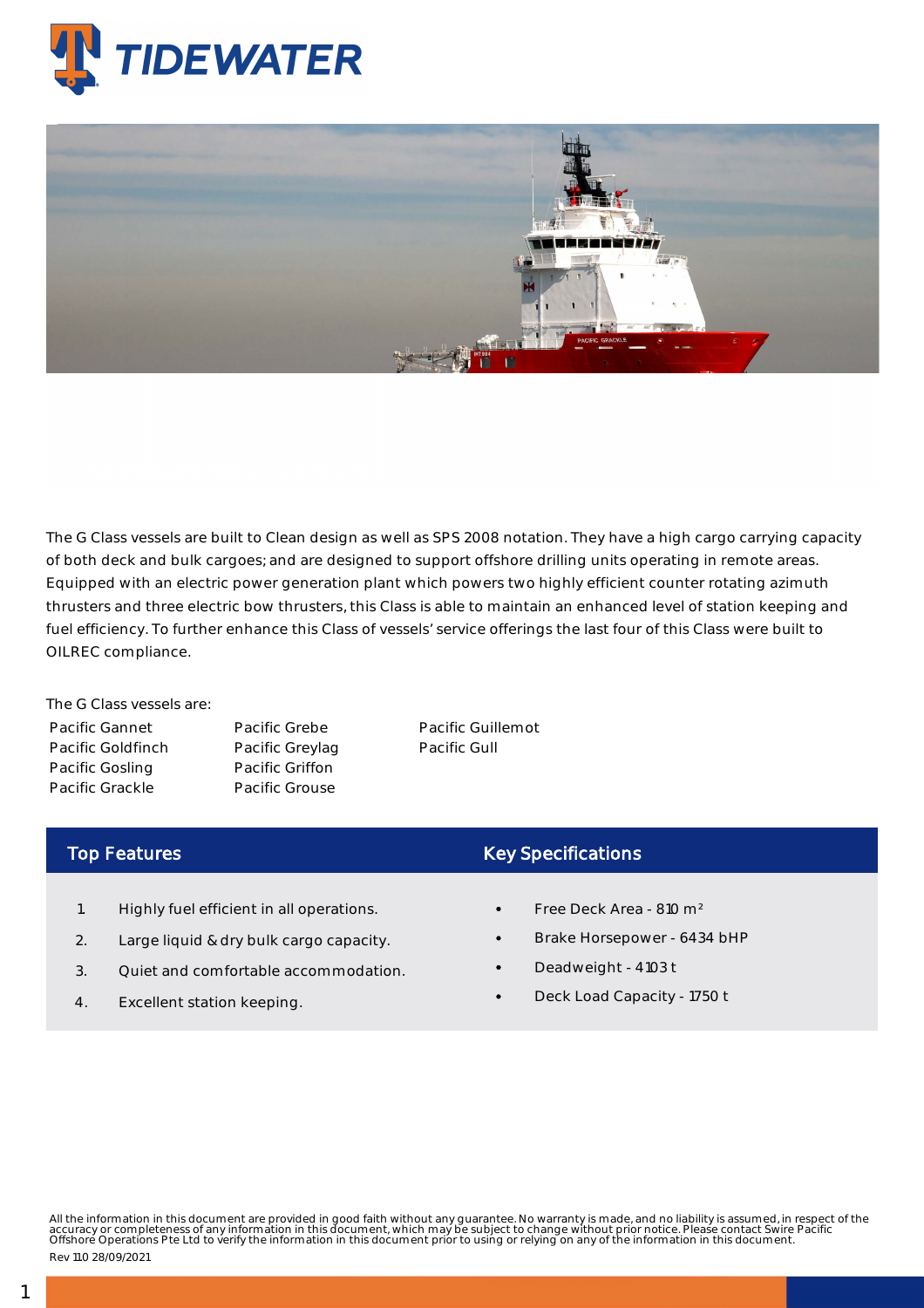

## Platform Supply Vessels - Pacific Grackle

The G Class vessels are built to Clean design as well as SPS 2008 notation. They have a high cargo carrying capacity of both deck and bulk cargoes; and are designed to support offshore drilling units operating in remote areas. Equipped with an electric power generation plant which powers two highly efficient counter rotating azimuth thrusters and three electric bow thrusters, this Class is able to maintain an enhanced level of station keeping and fuel efficiency. To further enhance this Class of vessels' service offerings the last four of this Class were built to OILREC compliance.

The G Class vessels are: Pacific Gannet Pacific Goldfinch Pacific Gosling Pacific Grackle

Pacific Grebe Pacific Greylag Pacific Griffon Pacific Grouse

Pacific Guillemot Pacific Gull

## Top Features

- 1. Highly fuel efficient in all operations.
- 2. Large liquid & dry bulk cargo capacity.
- 3. Quiet and comfortable accommodation.
- 4. Excellent station keeping.

## Key Specifications

- Free Deck Area 810 m²
- Brake Horsepower 6434 bHP
- Deadweight 4103 t
- Deck Load Capacity 1750 t

All the information in this document are provided in good faith without any guarantee. No warranty is made, and no liability is assumed, in respect of the<br>accuracy or completeness of any information in this document, which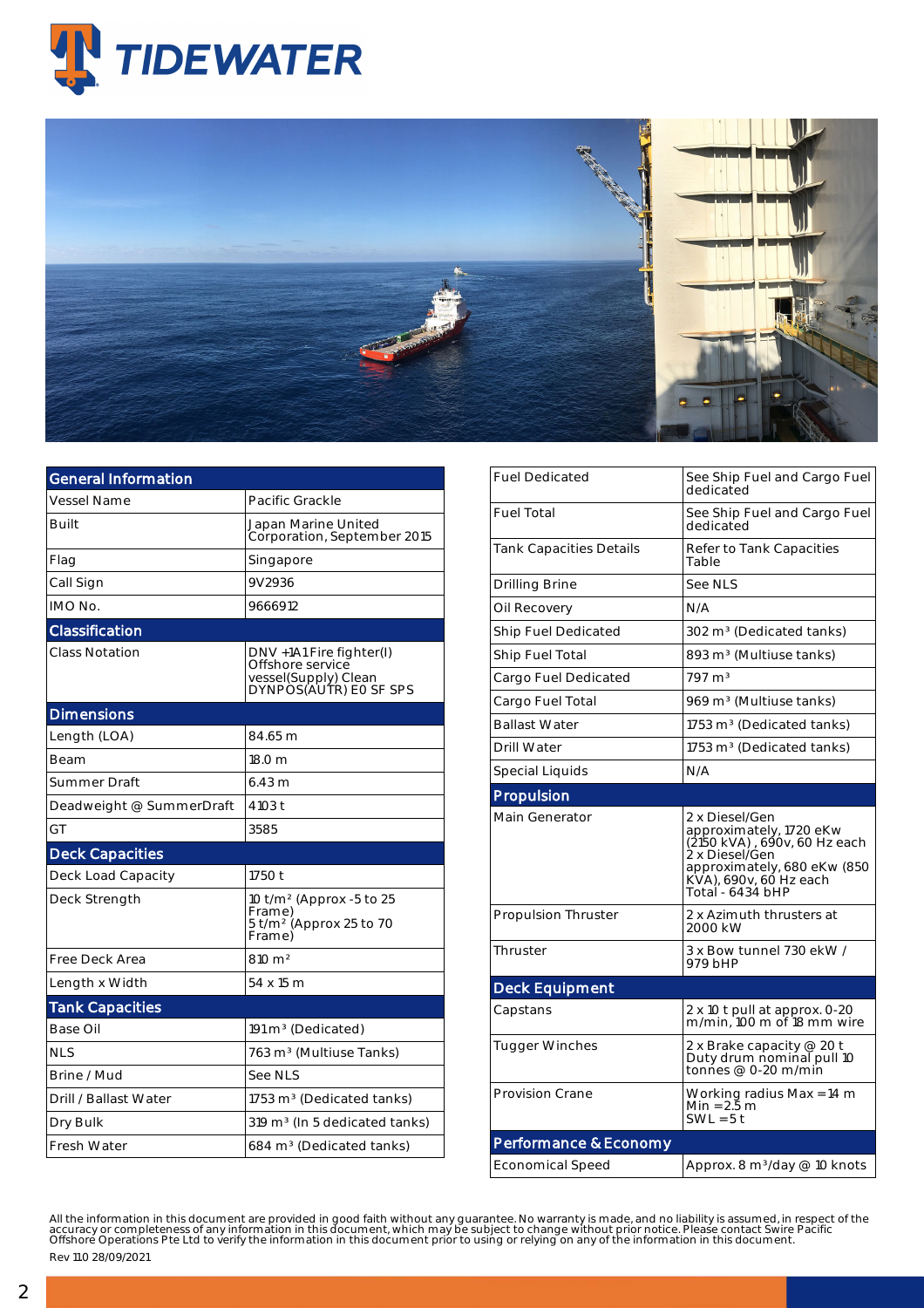



| <b>General Information</b> |                                                                                                 |
|----------------------------|-------------------------------------------------------------------------------------------------|
| <b>Vessel Name</b>         | Pacific Grackle                                                                                 |
| Built                      | Japan Marine United<br>Corporation, September 2015                                              |
| Flag                       | Singapore                                                                                       |
| Call Sign                  | 9V2936                                                                                          |
| IMO No.                    | 9666912                                                                                         |
| Classification             |                                                                                                 |
| <b>Class Notation</b>      | DNV +1A1 Fire fighter(I)<br>Offshore service<br>vessel(Supply) Clean<br>DYNPOS(AUTR) EO SF SPS  |
| <b>Dimensions</b>          |                                                                                                 |
| Length (LOA)               | 84.65 m                                                                                         |
| Beam                       | 18.0 m                                                                                          |
| Summer Draft               | 6.43 m                                                                                          |
| Deadweight @ SummerDraft   | 4103 t                                                                                          |
| GT                         | 3585                                                                                            |
| <b>Deck Capacities</b>     |                                                                                                 |
| Deck Load Capacity         | 1750 t                                                                                          |
| Deck Strength              | 10 t/m <sup>2</sup> (Approx -5 to 25<br>Frame)<br>5 t/m <sup>2</sup> (Approx 25 to 70<br>Frame) |
| Free Deck Area             | $810 \text{ m}^2$                                                                               |
| Length x Width             | 54 x 15 m                                                                                       |
| <b>Tank Capacities</b>     |                                                                                                 |
| Base Oil                   | $191 \text{ m}^3$ (Dedicated)                                                                   |
| <b>NLS</b>                 | 763 m <sup>3</sup> (Multiuse Tanks)                                                             |
| Brine / Mud                | See NLS                                                                                         |
| Drill / Ballast Water      | 1753 $m3$ (Dedicated tanks)                                                                     |
| Dry Bulk                   | 319 m <sup>3</sup> (In 5 dedicated tanks)                                                       |
| <b>Fresh Water</b>         | 684 m <sup>3</sup> (Dedicated tanks)                                                            |

| <b>Fuel Dedicated</b>      | See Ship Fuel and Cargo Fuel<br>dedicated                                                                                                                                |  |  |  |  |
|----------------------------|--------------------------------------------------------------------------------------------------------------------------------------------------------------------------|--|--|--|--|
| <b>Fuel Total</b>          | See Ship Fuel and Cargo Fuel<br>dedicated                                                                                                                                |  |  |  |  |
| Tank Capacities Details    | Refer to Tank Capacities<br>Table                                                                                                                                        |  |  |  |  |
| Drilling Brine             | See NLS                                                                                                                                                                  |  |  |  |  |
| Oil Recovery               | N/A                                                                                                                                                                      |  |  |  |  |
| Ship Fuel Dedicated        | 302 m <sup>3</sup> (Dedicated tanks)                                                                                                                                     |  |  |  |  |
| Ship Fuel Total            | 893 m <sup>3</sup> (Multiuse tanks)                                                                                                                                      |  |  |  |  |
| Cargo Fuel Dedicated       | $797 \text{ m}^3$                                                                                                                                                        |  |  |  |  |
| Cargo Fuel Total           | 969 m <sup>3</sup> (Multiuse tanks)                                                                                                                                      |  |  |  |  |
| <b>Ballast Water</b>       | 1753 m <sup>3</sup> (Dedicated tanks)                                                                                                                                    |  |  |  |  |
| <b>Drill Water</b>         | 1753 m <sup>3</sup> (Dedicated tanks)                                                                                                                                    |  |  |  |  |
| Special Liquids            | N/A                                                                                                                                                                      |  |  |  |  |
| Propulsion                 |                                                                                                                                                                          |  |  |  |  |
| Main Generator             | 2 x Diesel/Gen<br>approximately, 1720 eKw<br>(2150 kVA), 690v, 60 Hz each<br>2 x Diesel/Gen<br>approximately, 680 eKw (850<br>KVA), 690v, 60 Hz each<br>Total - 6434 bHP |  |  |  |  |
| <b>Propulsion Thruster</b> | 2 x Azimuth thrusters at<br>2000 kW                                                                                                                                      |  |  |  |  |
| Thruster                   | 3 x Bow tunnel 730 ekW /<br>979 bHP                                                                                                                                      |  |  |  |  |
| <b>Deck Equipment</b>      |                                                                                                                                                                          |  |  |  |  |
| Capstans                   | 2 x 10 t pull at approx. 0-20<br>m/min, 100 m of 18 mm wire                                                                                                              |  |  |  |  |
| <b>Tugger Winches</b>      | 2 x Brake capacity @ 20 t<br>Duty drum nominal pull 10<br>tonnes $@$ 0-20 m/min                                                                                          |  |  |  |  |
| <b>Provision Crane</b>     | Working radius Max = 14 m<br>$Min = 2.5 m$<br>$SWL = 5t$                                                                                                                 |  |  |  |  |
|                            |                                                                                                                                                                          |  |  |  |  |
| Performance & Economy      |                                                                                                                                                                          |  |  |  |  |

All the information in this document are provided in good faith without any guarantee. No warranty is made, and no liability is assumed, in respect of the<br>accuracy or completeness of any information in this document, which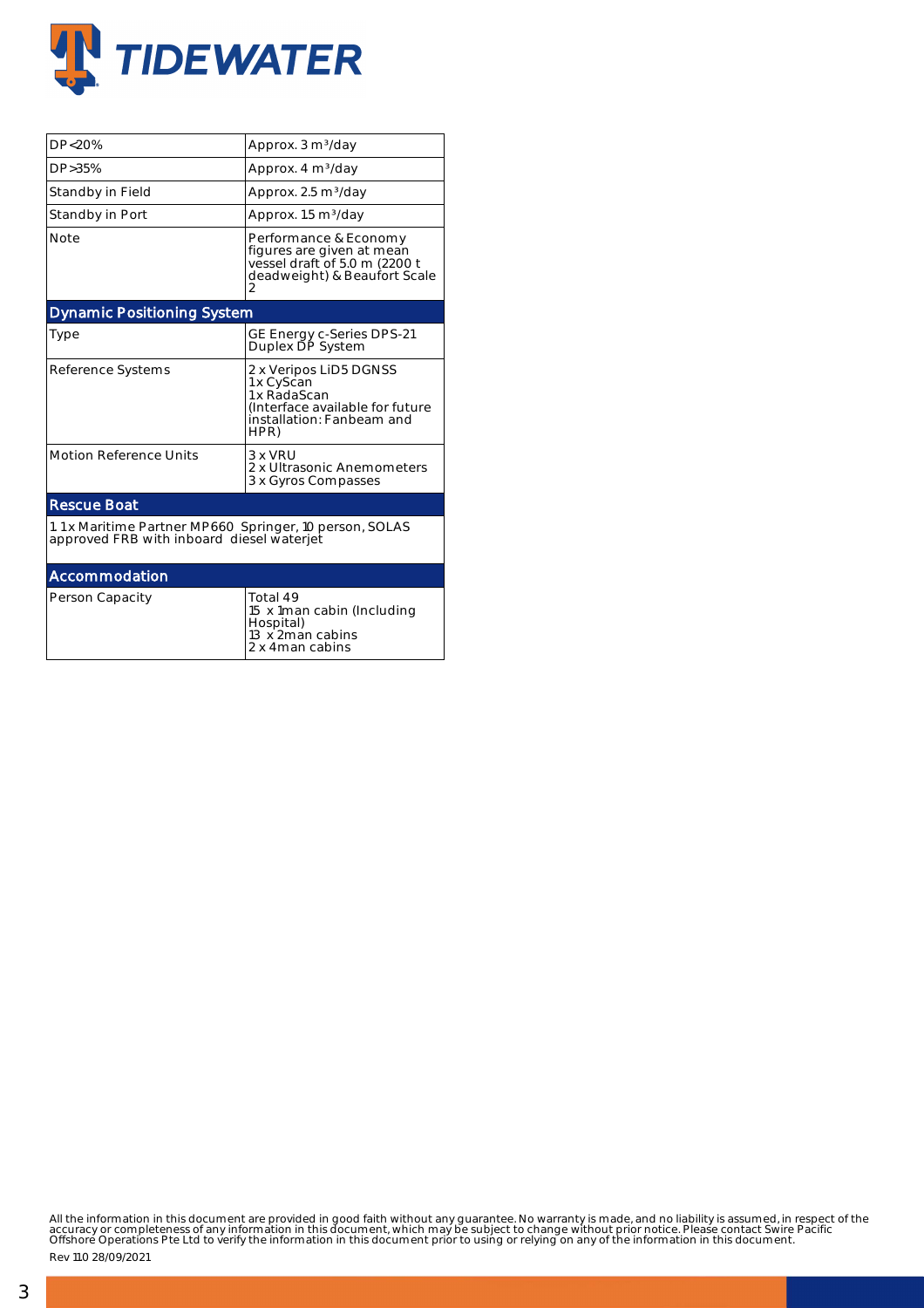

| DP<20%                                                                                               | Approx. 3 m <sup>3</sup> /day                                                                                                |  |  |  |  |  |
|------------------------------------------------------------------------------------------------------|------------------------------------------------------------------------------------------------------------------------------|--|--|--|--|--|
| DP>35%                                                                                               | Approx. 4 m <sup>3</sup> /day                                                                                                |  |  |  |  |  |
| Standby in Field                                                                                     | Approx. 2.5 m <sup>3</sup> /day                                                                                              |  |  |  |  |  |
| Standby in Port                                                                                      | Approx. 1.5 m <sup>3</sup> /day                                                                                              |  |  |  |  |  |
| <b>Note</b>                                                                                          | Performance & Economy<br>figures are given at mean<br>vessel draft of 5.0 m (2200 t<br>deadweight) & Beaufort Scale<br>2     |  |  |  |  |  |
| <b>Dynamic Positioning System</b>                                                                    |                                                                                                                              |  |  |  |  |  |
| Type                                                                                                 | GE Energy c-Series DPS-21<br>Duplex DP System                                                                                |  |  |  |  |  |
| Reference Systems                                                                                    | 2 x Veripos LiD5 DGNSS<br>1 x CyScan<br>1 x RadaScan<br>(Interface available for future<br>installation: Fanbeam and<br>HPR) |  |  |  |  |  |
| <b>Motion Reference Units</b>                                                                        | 3 x VRU<br>2 x Ultrasonic Anemometers<br>3 x Gyros Compasses                                                                 |  |  |  |  |  |
| <b>Rescue Boat</b>                                                                                   |                                                                                                                              |  |  |  |  |  |
| 1.1 x Maritime Partner MP660 Springer, 10 person, SOLAS<br>approved FRB with inboard diesel waterjet |                                                                                                                              |  |  |  |  |  |
| Accommodation                                                                                        |                                                                                                                              |  |  |  |  |  |
| Person Capacity                                                                                      | Total 49<br>15 x 1 man cabin (Including<br>Hospital)<br>13 x 2 man cabins                                                    |  |  |  |  |  |

2 x 4man cabins

All the information in this document are provided in good faith without any guarantee. No warranty is made, and no liability is assumed, in respect of the<br>accuracy or completeness of any information in this document, which